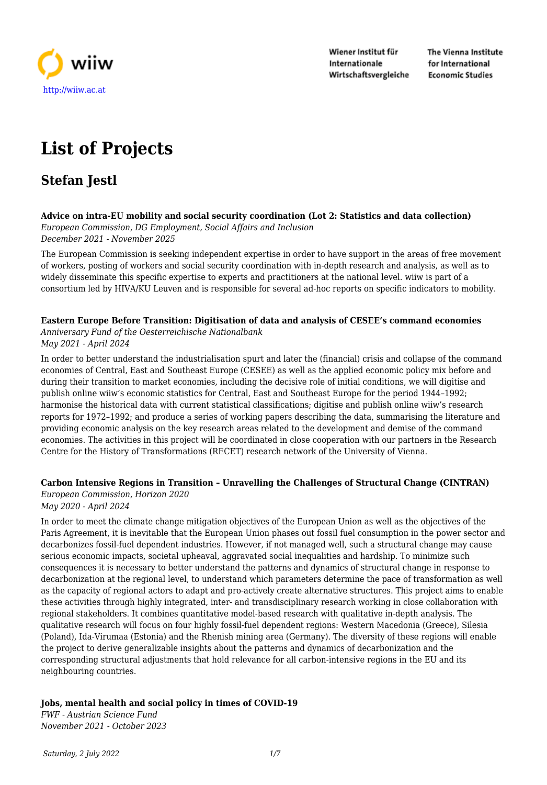

Wiener Institut für Internationale Wirtschaftsvergleiche The Vienna Institute for International **Economic Studies** 

# **List of Projects**

## **Stefan Jestl**

#### **Advice on intra-EU mobility and social security coordination (Lot 2: Statistics and data collection)**

*European Commission, DG Employment, Social Affairs and Inclusion December 2021 - November 2025*

The European Commission is seeking independent expertise in order to have support in the areas of free movement of workers, posting of workers and social security coordination with in-depth research and analysis, as well as to widely disseminate this specific expertise to experts and practitioners at the national level. wiiw is part of a consortium led by HIVA/KU Leuven and is responsible for several ad-hoc reports on specific indicators to mobility.

#### **Eastern Europe Before Transition: Digitisation of data and analysis of CESEE's command economies**

*Anniversary Fund of the Oesterreichische Nationalbank May 2021 - April 2024*

In order to better understand the industrialisation spurt and later the (financial) crisis and collapse of the command economies of Central, East and Southeast Europe (CESEE) as well as the applied economic policy mix before and during their transition to market economies, including the decisive role of initial conditions, we will digitise and publish online wiiw's economic statistics for Central, East and Southeast Europe for the period 1944–1992; harmonise the historical data with current statistical classifications; digitise and publish online wiiw's research reports for 1972–1992; and produce a series of working papers describing the data, summarising the literature and providing economic analysis on the key research areas related to the development and demise of the command economies. The activities in this project will be coordinated in close cooperation with our partners in the Research Centre for the History of Transformations (RECET) research network of the University of Vienna.

#### **Carbon Intensive Regions in Transition – Unravelling the Challenges of Structural Change (CINTRAN)**

*European Commission, Horizon 2020 May 2020 - April 2024*

In order to meet the climate change mitigation objectives of the European Union as well as the objectives of the Paris Agreement, it is inevitable that the European Union phases out fossil fuel consumption in the power sector and decarbonizes fossil-fuel dependent industries. However, if not managed well, such a structural change may cause serious economic impacts, societal upheaval, aggravated social inequalities and hardship. To minimize such consequences it is necessary to better understand the patterns and dynamics of structural change in response to decarbonization at the regional level, to understand which parameters determine the pace of transformation as well as the capacity of regional actors to adapt and pro-actively create alternative structures. This project aims to enable these activities through highly integrated, inter- and transdisciplinary research working in close collaboration with regional stakeholders. It combines quantitative model-based research with qualitative in-depth analysis. The qualitative research will focus on four highly fossil-fuel dependent regions: Western Macedonia (Greece), Silesia (Poland), Ida-Virumaa (Estonia) and the Rhenish mining area (Germany). The diversity of these regions will enable the project to derive generalizable insights about the patterns and dynamics of decarbonization and the corresponding structural adjustments that hold relevance for all carbon-intensive regions in the EU and its neighbouring countries.

#### **Jobs, mental health and social policy in times of COVID-19**

*FWF - Austrian Science Fund November 2021 - October 2023*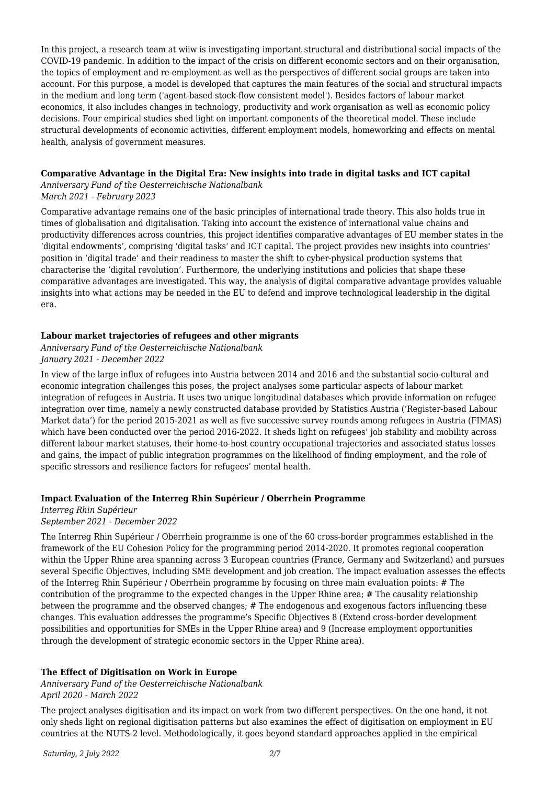In this project, a research team at wiiw is investigating important structural and distributional social impacts of the COVID-19 pandemic. In addition to the impact of the crisis on different economic sectors and on their organisation, the topics of employment and re-employment as well as the perspectives of different social groups are taken into account. For this purpose, a model is developed that captures the main features of the social and structural impacts in the medium and long term ('agent-based stock-flow consistent model'). Besides factors of labour market economics, it also includes changes in technology, productivity and work organisation as well as economic policy decisions. Four empirical studies shed light on important components of the theoretical model. These include structural developments of economic activities, different employment models, homeworking and effects on mental health, analysis of government measures.

#### **Comparative Advantage in the Digital Era: New insights into trade in digital tasks and ICT capital**

*Anniversary Fund of the Oesterreichische Nationalbank March 2021 - February 2023*

Comparative advantage remains one of the basic principles of international trade theory. This also holds true in times of globalisation and digitalisation. Taking into account the existence of international value chains and productivity differences across countries, this project identifies comparative advantages of EU member states in the 'digital endowments', comprising 'digital tasks' and ICT capital. The project provides new insights into countries' position in 'digital trade' and their readiness to master the shift to cyber-physical production systems that characterise the 'digital revolution'. Furthermore, the underlying institutions and policies that shape these comparative advantages are investigated. This way, the analysis of digital comparative advantage provides valuable insights into what actions may be needed in the EU to defend and improve technological leadership in the digital era.

#### **Labour market trajectories of refugees and other migrants**

*Anniversary Fund of the Oesterreichische Nationalbank January 2021 - December 2022*

In view of the large influx of refugees into Austria between 2014 and 2016 and the substantial socio-cultural and economic integration challenges this poses, the project analyses some particular aspects of labour market integration of refugees in Austria. It uses two unique longitudinal databases which provide information on refugee integration over time, namely a newly constructed database provided by Statistics Austria ('Register-based Labour Market data') for the period 2015-2021 as well as five successive survey rounds among refugees in Austria (FIMAS) which have been conducted over the period 2016-2022. It sheds light on refugees' job stability and mobility across different labour market statuses, their home-to-host country occupational trajectories and associated status losses and gains, the impact of public integration programmes on the likelihood of finding employment, and the role of specific stressors and resilience factors for refugees' mental health.

#### **Impact Evaluation of the Interreg Rhin Supérieur / Oberrhein Programme**

### *Interreg Rhin Supérieur*

#### *September 2021 - December 2022*

The Interreg Rhin Supérieur / Oberrhein programme is one of the 60 cross-border programmes established in the framework of the EU Cohesion Policy for the programming period 2014-2020. It promotes regional cooperation within the Upper Rhine area spanning across 3 European countries (France, Germany and Switzerland) and pursues several Specific Objectives, including SME development and job creation. The impact evaluation assesses the effects of the Interreg Rhin Supérieur / Oberrhein programme by focusing on three main evaluation points: # The contribution of the programme to the expected changes in the Upper Rhine area; # The causality relationship between the programme and the observed changes; # The endogenous and exogenous factors influencing these changes. This evaluation addresses the programme's Specific Objectives 8 (Extend cross-border development possibilities and opportunities for SMEs in the Upper Rhine area) and 9 (Increase employment opportunities through the development of strategic economic sectors in the Upper Rhine area).

#### **The Effect of Digitisation on Work in Europe**

*Anniversary Fund of the Oesterreichische Nationalbank April 2020 - March 2022*

The project analyses digitisation and its impact on work from two different perspectives. On the one hand, it not only sheds light on regional digitisation patterns but also examines the effect of digitisation on employment in EU countries at the NUTS-2 level. Methodologically, it goes beyond standard approaches applied in the empirical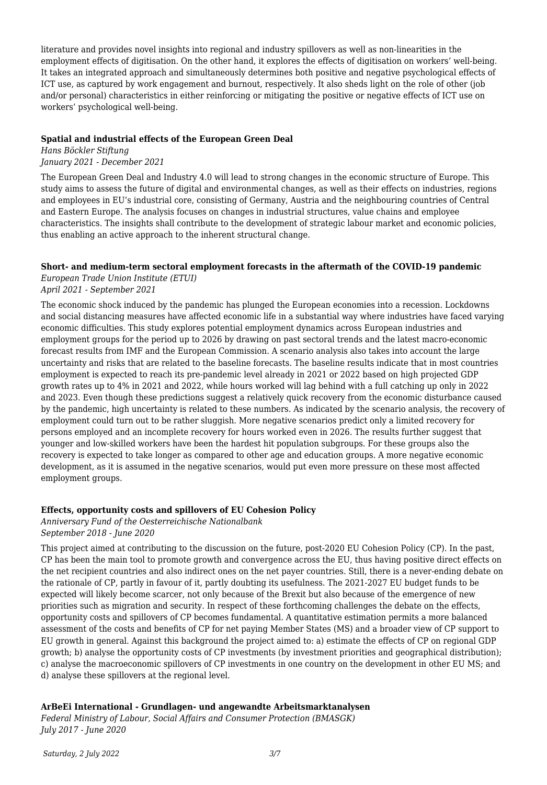literature and provides novel insights into regional and industry spillovers as well as non-linearities in the employment effects of digitisation. On the other hand, it explores the effects of digitisation on workers' well-being. It takes an integrated approach and simultaneously determines both positive and negative psychological effects of ICT use, as captured by work engagement and burnout, respectively. It also sheds light on the role of other (job and/or personal) characteristics in either reinforcing or mitigating the positive or negative effects of ICT use on workers' psychological well-being.

#### **Spatial and industrial effects of the European Green Deal**

*Hans Böckler Stiftung*

*January 2021 - December 2021*

The European Green Deal and Industry 4.0 will lead to strong changes in the economic structure of Europe. This study aims to assess the future of digital and environmental changes, as well as their effects on industries, regions and employees in EU's industrial core, consisting of Germany, Austria and the neighbouring countries of Central and Eastern Europe. The analysis focuses on changes in industrial structures, value chains and employee characteristics. The insights shall contribute to the development of strategic labour market and economic policies, thus enabling an active approach to the inherent structural change.

#### **Short- and medium-term sectoral employment forecasts in the aftermath of the COVID-19 pandemic**

*European Trade Union Institute (ETUI)*

*April 2021 - September 2021*

The economic shock induced by the pandemic has plunged the European economies into a recession. Lockdowns and social distancing measures have affected economic life in a substantial way where industries have faced varying economic difficulties. This study explores potential employment dynamics across European industries and employment groups for the period up to 2026 by drawing on past sectoral trends and the latest macro-economic forecast results from IMF and the European Commission. A scenario analysis also takes into account the large uncertainty and risks that are related to the baseline forecasts. The baseline results indicate that in most countries employment is expected to reach its pre-pandemic level already in 2021 or 2022 based on high projected GDP growth rates up to 4% in 2021 and 2022, while hours worked will lag behind with a full catching up only in 2022 and 2023. Even though these predictions suggest a relatively quick recovery from the economic disturbance caused by the pandemic, high uncertainty is related to these numbers. As indicated by the scenario analysis, the recovery of employment could turn out to be rather sluggish. More negative scenarios predict only a limited recovery for persons employed and an incomplete recovery for hours worked even in 2026. The results further suggest that younger and low-skilled workers have been the hardest hit population subgroups. For these groups also the recovery is expected to take longer as compared to other age and education groups. A more negative economic development, as it is assumed in the negative scenarios, would put even more pressure on these most affected employment groups.

#### **Effects, opportunity costs and spillovers of EU Cohesion Policy**

*Anniversary Fund of the Oesterreichische Nationalbank September 2018 - June 2020*

This project aimed at contributing to the discussion on the future, post-2020 EU Cohesion Policy (CP). In the past, CP has been the main tool to promote growth and convergence across the EU, thus having positive direct effects on the net recipient countries and also indirect ones on the net payer countries. Still, there is a never-ending debate on the rationale of CP, partly in favour of it, partly doubting its usefulness. The 2021-2027 EU budget funds to be expected will likely become scarcer, not only because of the Brexit but also because of the emergence of new priorities such as migration and security. In respect of these forthcoming challenges the debate on the effects, opportunity costs and spillovers of CP becomes fundamental. A quantitative estimation permits a more balanced assessment of the costs and benefits of CP for net paying Member States (MS) and a broader view of CP support to EU growth in general. Against this background the project aimed to: a) estimate the effects of CP on regional GDP growth; b) analyse the opportunity costs of CP investments (by investment priorities and geographical distribution); c) analyse the macroeconomic spillovers of CP investments in one country on the development in other EU MS; and d) analyse these spillovers at the regional level.

#### **ArBeEi International - Grundlagen- und angewandte Arbeitsmarktanalysen**

*Federal Ministry of Labour, Social Affairs and Consumer Protection (BMASGK) July 2017 - June 2020*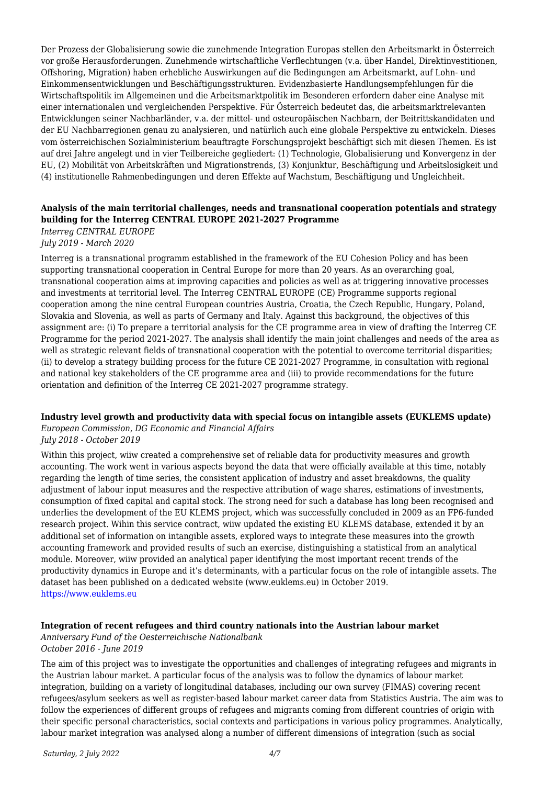Der Prozess der Globalisierung sowie die zunehmende Integration Europas stellen den Arbeitsmarkt in Österreich vor große Herausforderungen. Zunehmende wirtschaftliche Verflechtungen (v.a. über Handel, Direktinvestitionen, Offshoring, Migration) haben erhebliche Auswirkungen auf die Bedingungen am Arbeitsmarkt, auf Lohn- und Einkommensentwicklungen und Beschäftigungsstrukturen. Evidenzbasierte Handlungsempfehlungen für die Wirtschaftspolitik im Allgemeinen und die Arbeitsmarktpolitik im Besonderen erfordern daher eine Analyse mit einer internationalen und vergleichenden Perspektive. Für Österreich bedeutet das, die arbeitsmarktrelevanten Entwicklungen seiner Nachbarländer, v.a. der mittel- und osteuropäischen Nachbarn, der Beitrittskandidaten und der EU Nachbarregionen genau zu analysieren, und natürlich auch eine globale Perspektive zu entwickeln. Dieses vom österreichischen Sozialministerium beauftragte Forschungsprojekt beschäftigt sich mit diesen Themen. Es ist auf drei Jahre angelegt und in vier Teilbereiche gegliedert: (1) Technologie, Globalisierung und Konvergenz in der EU, (2) Mobilität von Arbeitskräften und Migrationstrends, (3) Konjunktur, Beschäftigung und Arbeitslosigkeit und (4) institutionelle Rahmenbedingungen und deren Effekte auf Wachstum, Beschäftigung und Ungleichheit.

#### **Analysis of the main territorial challenges, needs and transnational cooperation potentials and strategy building for the Interreg CENTRAL EUROPE 2021-2027 Programme**

*Interreg CENTRAL EUROPE*

*July 2019 - March 2020*

Interreg is a transnational programm established in the framework of the EU Cohesion Policy and has been supporting transnational cooperation in Central Europe for more than 20 years. As an overarching goal, transnational cooperation aims at improving capacities and policies as well as at triggering innovative processes and investments at territorial level. The Interreg CENTRAL EUROPE (CE) Programme supports regional cooperation among the nine central European countries Austria, Croatia, the Czech Republic, Hungary, Poland, Slovakia and Slovenia, as well as parts of Germany and Italy. Against this background, the objectives of this assignment are: (i) To prepare a territorial analysis for the CE programme area in view of drafting the Interreg CE Programme for the period 2021-2027. The analysis shall identify the main joint challenges and needs of the area as well as strategic relevant fields of transnational cooperation with the potential to overcome territorial disparities; (ii) to develop a strategy building process for the future CE 2021-2027 Programme, in consultation with regional and national key stakeholders of the CE programme area and (iii) to provide recommendations for the future orientation and definition of the Interreg CE 2021-2027 programme strategy.

#### **Industry level growth and productivity data with special focus on intangible assets (EUKLEMS update)**

*European Commission, DG Economic and Financial Affairs July 2018 - October 2019*

Within this project, wiiw created a comprehensive set of reliable data for productivity measures and growth accounting. The work went in various aspects beyond the data that were officially available at this time, notably regarding the length of time series, the consistent application of industry and asset breakdowns, the quality adjustment of labour input measures and the respective attribution of wage shares, estimations of investments, consumption of fixed capital and capital stock. The strong need for such a database has long been recognised and underlies the development of the EU KLEMS project, which was successfully concluded in 2009 as an FP6-funded research project. Wihin this service contract, wiiw updated the existing EU KLEMS database, extended it by an additional set of information on intangible assets, explored ways to integrate these measures into the growth accounting framework and provided results of such an exercise, distinguishing a statistical from an analytical module. Moreover, wiiw provided an analytical paper identifying the most important recent trends of the productivity dynamics in Europe and it's determinants, with a particular focus on the role of intangible assets. The dataset has been published on a dedicated website (www.euklems.eu) in October 2019. <https://www.euklems.eu>

#### **Integration of recent refugees and third country nationals into the Austrian labour market**

*Anniversary Fund of the Oesterreichische Nationalbank October 2016 - June 2019*

The aim of this project was to investigate the opportunities and challenges of integrating refugees and migrants in the Austrian labour market. A particular focus of the analysis was to follow the dynamics of labour market integration, building on a variety of longitudinal databases, including our own survey (FIMAS) covering recent refugees/asylum seekers as well as register-based labour market career data from Statistics Austria. The aim was to follow the experiences of different groups of refugees and migrants coming from different countries of origin with their specific personal characteristics, social contexts and participations in various policy programmes. Analytically, labour market integration was analysed along a number of different dimensions of integration (such as social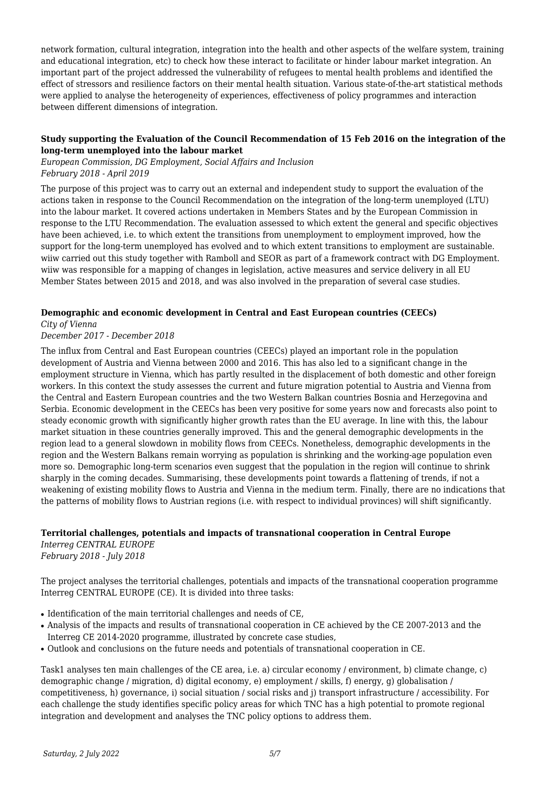network formation, cultural integration, integration into the health and other aspects of the welfare system, training and educational integration, etc) to check how these interact to facilitate or hinder labour market integration. An important part of the project addressed the vulnerability of refugees to mental health problems and identified the effect of stressors and resilience factors on their mental health situation. Various state-of-the-art statistical methods were applied to analyse the heterogeneity of experiences, effectiveness of policy programmes and interaction between different dimensions of integration.

#### **Study supporting the Evaluation of the Council Recommendation of 15 Feb 2016 on the integration of the long-term unemployed into the labour market**

*European Commission, DG Employment, Social Affairs and Inclusion February 2018 - April 2019*

The purpose of this project was to carry out an external and independent study to support the evaluation of the actions taken in response to the Council Recommendation on the integration of the long-term unemployed (LTU) into the labour market. It covered actions undertaken in Members States and by the European Commission in response to the LTU Recommendation. The evaluation assessed to which extent the general and specific objectives have been achieved, i.e. to which extent the transitions from unemployment to employment improved, how the support for the long-term unemployed has evolved and to which extent transitions to employment are sustainable. wiiw carried out this study together with Ramboll and SEOR as part of a framework contract with DG Employment. wiiw was responsible for a mapping of changes in legislation, active measures and service delivery in all EU Member States between 2015 and 2018, and was also involved in the preparation of several case studies.

#### **Demographic and economic development in Central and East European countries (CEECs)**

#### *City of Vienna December 2017 - December 2018*

The influx from Central and East European countries (CEECs) played an important role in the population development of Austria and Vienna between 2000 and 2016. This has also led to a significant change in the employment structure in Vienna, which has partly resulted in the displacement of both domestic and other foreign workers. In this context the study assesses the current and future migration potential to Austria and Vienna from the Central and Eastern European countries and the two Western Balkan countries Bosnia and Herzegovina and Serbia. Economic development in the CEECs has been very positive for some years now and forecasts also point to steady economic growth with significantly higher growth rates than the EU average. In line with this, the labour market situation in these countries generally improved. This and the general demographic developments in the region lead to a general slowdown in mobility flows from CEECs. Nonetheless, demographic developments in the region and the Western Balkans remain worrying as population is shrinking and the working-age population even more so. Demographic long-term scenarios even suggest that the population in the region will continue to shrink sharply in the coming decades. Summarising, these developments point towards a flattening of trends, if not a weakening of existing mobility flows to Austria and Vienna in the medium term. Finally, there are no indications that the patterns of mobility flows to Austrian regions (i.e. with respect to individual provinces) will shift significantly.

#### **Territorial challenges, potentials and impacts of transnational cooperation in Central Europe**

*Interreg CENTRAL EUROPE February 2018 - July 2018*

The project analyses the territorial challenges, potentials and impacts of the transnational cooperation programme Interreg CENTRAL EUROPE (CE). It is divided into three tasks:

- Identification of the main territorial challenges and needs of CE,
- Analysis of the impacts and results of transnational cooperation in CE achieved by the CE 2007-2013 and the Interreg CE 2014-2020 programme, illustrated by concrete case studies,
- Outlook and conclusions on the future needs and potentials of transnational cooperation in CE.

Task1 analyses ten main challenges of the CE area, i.e. a) circular economy / environment, b) climate change, c) demographic change / migration, d) digital economy, e) employment / skills, f) energy, g) globalisation / competitiveness, h) governance, i) social situation / social risks and j) transport infrastructure / accessibility. For each challenge the study identifies specific policy areas for which TNC has a high potential to promote regional integration and development and analyses the TNC policy options to address them.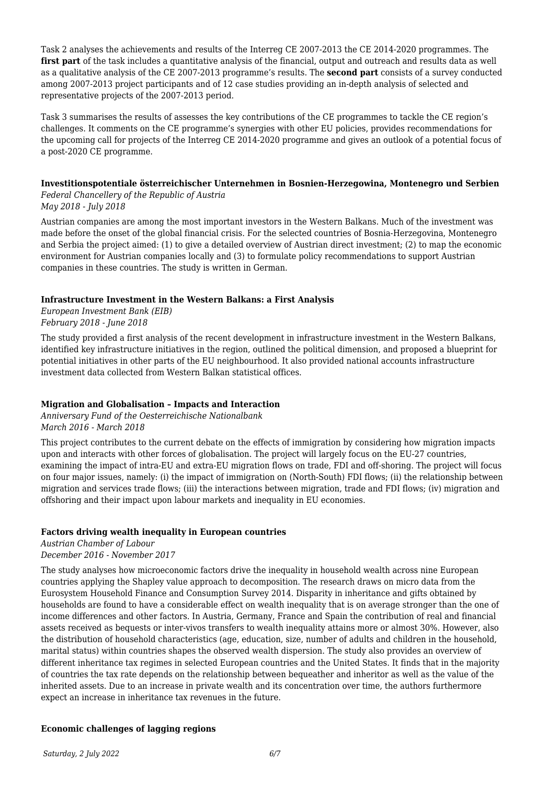Task 2 analyses the achievements and results of the Interreg CE 2007-2013 the CE 2014-2020 programmes. The **first part** of the task includes a quantitative analysis of the financial, output and outreach and results data as well as a qualitative analysis of the CE 2007-2013 programme's results. The **second part** consists of a survey conducted among 2007-2013 project participants and of 12 case studies providing an in-depth analysis of selected and representative projects of the 2007-2013 period.

Task 3 summarises the results of assesses the key contributions of the CE programmes to tackle the CE region's challenges. It comments on the CE programme's synergies with other EU policies, provides recommendations for the upcoming call for projects of the Interreg CE 2014-2020 programme and gives an outlook of a potential focus of a post-2020 CE programme.

#### **Investitionspotentiale österreichischer Unternehmen in Bosnien-Herzegowina, Montenegro und Serbien** *Federal Chancellery of the Republic of Austria*

*May 2018 - July 2018*

Austrian companies are among the most important investors in the Western Balkans. Much of the investment was made before the onset of the global financial crisis. For the selected countries of Bosnia-Herzegovina, Montenegro and Serbia the project aimed: (1) to give a detailed overview of Austrian direct investment; (2) to map the economic environment for Austrian companies locally and (3) to formulate policy recommendations to support Austrian companies in these countries. The study is written in German.

#### **Infrastructure Investment in the Western Balkans: a First Analysis**

*European Investment Bank (EIB) February 2018 - June 2018*

The study provided a first analysis of the recent development in infrastructure investment in the Western Balkans, identified key infrastructure initiatives in the region, outlined the political dimension, and proposed a blueprint for potential initiatives in other parts of the EU neighbourhood. It also provided national accounts infrastructure investment data collected from Western Balkan statistical offices.

#### **Migration and Globalisation – Impacts and Interaction**

*Anniversary Fund of the Oesterreichische Nationalbank March 2016 - March 2018*

This project contributes to the current debate on the effects of immigration by considering how migration impacts upon and interacts with other forces of globalisation. The project will largely focus on the EU-27 countries, examining the impact of intra-EU and extra-EU migration flows on trade, FDI and off-shoring. The project will focus on four major issues, namely: (i) the impact of immigration on (North-South) FDI flows; (ii) the relationship between migration and services trade flows; (iii) the interactions between migration, trade and FDI flows; (iv) migration and offshoring and their impact upon labour markets and inequality in EU economies.

#### **Factors driving wealth inequality in European countries**

*Austrian Chamber of Labour December 2016 - November 2017*

The study analyses how microeconomic factors drive the inequality in household wealth across nine European countries applying the Shapley value approach to decomposition. The research draws on micro data from the Eurosystem Household Finance and Consumption Survey 2014. Disparity in inheritance and gifts obtained by households are found to have a considerable effect on wealth inequality that is on average stronger than the one of income differences and other factors. In Austria, Germany, France and Spain the contribution of real and financial assets received as bequests or inter-vivos transfers to wealth inequality attains more or almost 30%. However, also the distribution of household characteristics (age, education, size, number of adults and children in the household, marital status) within countries shapes the observed wealth dispersion. The study also provides an overview of different inheritance tax regimes in selected European countries and the United States. It finds that in the majority of countries the tax rate depends on the relationship between bequeather and inheritor as well as the value of the inherited assets. Due to an increase in private wealth and its concentration over time, the authors furthermore expect an increase in inheritance tax revenues in the future.

#### **Economic challenges of lagging regions**